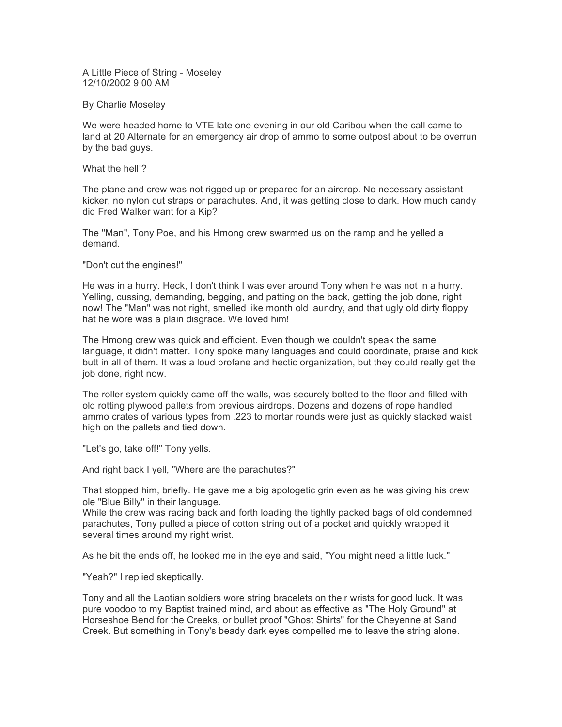A Little Piece of String - Moseley 12/10/2002 9:00 AM

By Charlie Moseley

We were headed home to VTE late one evening in our old Caribou when the call came to land at 20 Alternate for an emergency air drop of ammo to some outpost about to be overrun by the bad guys.

What the hell!?

The plane and crew was not rigged up or prepared for an airdrop. No necessary assistant kicker, no nylon cut straps or parachutes. And, it was getting close to dark. How much candy did Fred Walker want for a Kip?

The "Man", Tony Poe, and his Hmong crew swarmed us on the ramp and he yelled a demand.

"Don't cut the engines!"

He was in a hurry. Heck, I don't think I was ever around Tony when he was not in a hurry. Yelling, cussing, demanding, begging, and patting on the back, getting the job done, right now! The "Man" was not right, smelled like month old laundry, and that ugly old dirty floppy hat he wore was a plain disgrace. We loved him!

The Hmong crew was quick and efficient. Even though we couldn't speak the same language, it didn't matter. Tony spoke many languages and could coordinate, praise and kick butt in all of them. It was a loud profane and hectic organization, but they could really get the job done, right now.

The roller system quickly came off the walls, was securely bolted to the floor and filled with old rotting plywood pallets from previous airdrops. Dozens and dozens of rope handled ammo crates of various types from .223 to mortar rounds were just as quickly stacked waist high on the pallets and tied down.

"Let's go, take off!" Tony yells.

And right back I yell, "Where are the parachutes?"

That stopped him, briefly. He gave me a big apologetic grin even as he was giving his crew ole "Blue Billy" in their language.

While the crew was racing back and forth loading the tightly packed bags of old condemned parachutes, Tony pulled a piece of cotton string out of a pocket and quickly wrapped it several times around my right wrist.

As he bit the ends off, he looked me in the eye and said, "You might need a little luck."

"Yeah?" I replied skeptically.

Tony and all the Laotian soldiers wore string bracelets on their wrists for good luck. It was pure voodoo to my Baptist trained mind, and about as effective as "The Holy Ground" at Horseshoe Bend for the Creeks, or bullet proof "Ghost Shirts" for the Cheyenne at Sand Creek. But something in Tony's beady dark eyes compelled me to leave the string alone.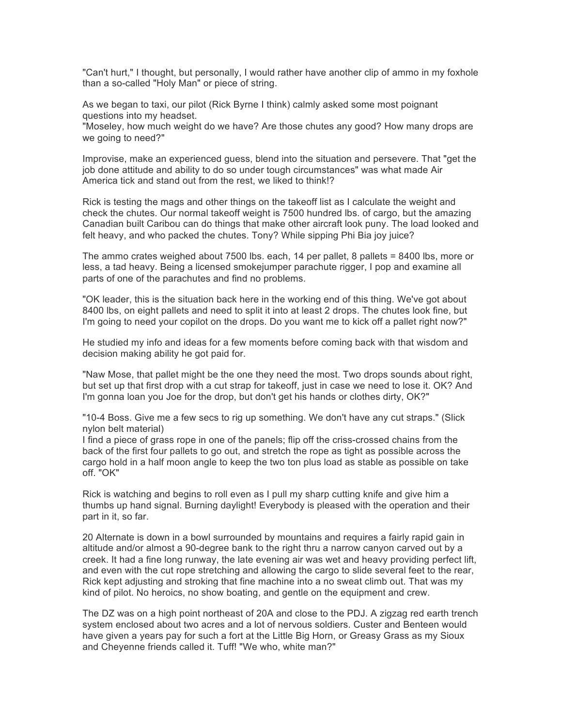"Can't hurt," I thought, but personally, I would rather have another clip of ammo in my foxhole than a so-called "Holy Man" or piece of string.

As we began to taxi, our pilot (Rick Byrne I think) calmly asked some most poignant questions into my headset.

"Moseley, how much weight do we have? Are those chutes any good? How many drops are we going to need?"

Improvise, make an experienced guess, blend into the situation and persevere. That "get the job done attitude and ability to do so under tough circumstances" was what made Air America tick and stand out from the rest, we liked to think!?

Rick is testing the mags and other things on the takeoff list as I calculate the weight and check the chutes. Our normal takeoff weight is 7500 hundred lbs. of cargo, but the amazing Canadian built Caribou can do things that make other aircraft look puny. The load looked and felt heavy, and who packed the chutes. Tony? While sipping Phi Bia joy juice?

The ammo crates weighed about 7500 lbs. each, 14 per pallet, 8 pallets = 8400 lbs, more or less, a tad heavy. Being a licensed smokejumper parachute rigger, I pop and examine all parts of one of the parachutes and find no problems.

"OK leader, this is the situation back here in the working end of this thing. We've got about 8400 lbs, on eight pallets and need to split it into at least 2 drops. The chutes look fine, but I'm going to need your copilot on the drops. Do you want me to kick off a pallet right now?"

He studied my info and ideas for a few moments before coming back with that wisdom and decision making ability he got paid for.

"Naw Mose, that pallet might be the one they need the most. Two drops sounds about right, but set up that first drop with a cut strap for takeoff, just in case we need to lose it. OK? And I'm gonna loan you Joe for the drop, but don't get his hands or clothes dirty, OK?"

"10-4 Boss. Give me a few secs to rig up something. We don't have any cut straps." (Slick nylon belt material)

I find a piece of grass rope in one of the panels; flip off the criss-crossed chains from the back of the first four pallets to go out, and stretch the rope as tight as possible across the cargo hold in a half moon angle to keep the two ton plus load as stable as possible on take off. "OK"

Rick is watching and begins to roll even as I pull my sharp cutting knife and give him a thumbs up hand signal. Burning daylight! Everybody is pleased with the operation and their part in it, so far.

20 Alternate is down in a bowl surrounded by mountains and requires a fairly rapid gain in altitude and/or almost a 90-degree bank to the right thru a narrow canyon carved out by a creek. It had a fine long runway, the late evening air was wet and heavy providing perfect lift, and even with the cut rope stretching and allowing the cargo to slide several feet to the rear, Rick kept adjusting and stroking that fine machine into a no sweat climb out. That was my kind of pilot. No heroics, no show boating, and gentle on the equipment and crew.

The DZ was on a high point northeast of 20A and close to the PDJ. A zigzag red earth trench system enclosed about two acres and a lot of nervous soldiers. Custer and Benteen would have given a years pay for such a fort at the Little Big Horn, or Greasy Grass as my Sioux and Cheyenne friends called it. Tuff! "We who, white man?"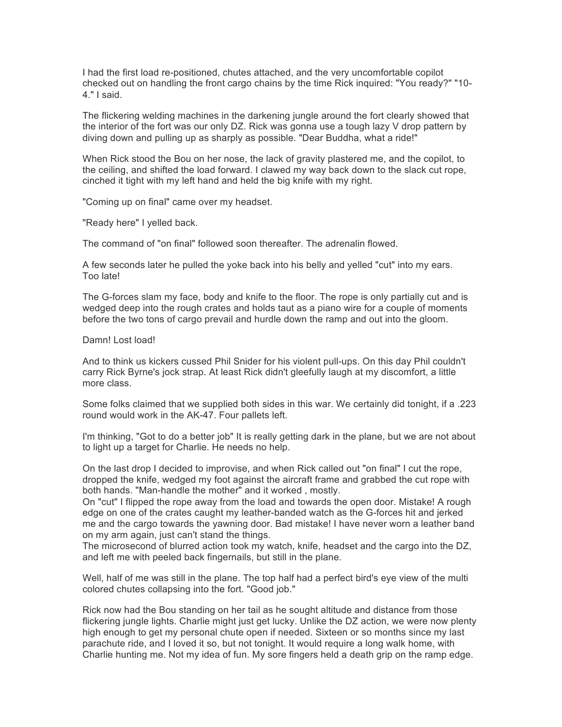I had the first load re-positioned, chutes attached, and the very uncomfortable copilot checked out on handling the front cargo chains by the time Rick inquired: "You ready?" "10- 4." I said.

The flickering welding machines in the darkening jungle around the fort clearly showed that the interior of the fort was our only DZ. Rick was gonna use a tough lazy V drop pattern by diving down and pulling up as sharply as possible. "Dear Buddha, what a ride!"

When Rick stood the Bou on her nose, the lack of gravity plastered me, and the copilot, to the ceiling, and shifted the load forward. I clawed my way back down to the slack cut rope, cinched it tight with my left hand and held the big knife with my right.

"Coming up on final" came over my headset.

"Ready here" I yelled back.

The command of "on final" followed soon thereafter. The adrenalin flowed.

A few seconds later he pulled the yoke back into his belly and yelled "cut" into my ears. Too late!

The G-forces slam my face, body and knife to the floor. The rope is only partially cut and is wedged deep into the rough crates and holds taut as a piano wire for a couple of moments before the two tons of cargo prevail and hurdle down the ramp and out into the gloom.

## Damn! Lost load!

And to think us kickers cussed Phil Snider for his violent pull-ups. On this day Phil couldn't carry Rick Byrne's jock strap. At least Rick didn't gleefully laugh at my discomfort, a little more class.

Some folks claimed that we supplied both sides in this war. We certainly did tonight, if a .223 round would work in the AK-47. Four pallets left.

I'm thinking, "Got to do a better job" It is really getting dark in the plane, but we are not about to light up a target for Charlie. He needs no help.

On the last drop I decided to improvise, and when Rick called out "on final" I cut the rope, dropped the knife, wedged my foot against the aircraft frame and grabbed the cut rope with both hands. "Man-handle the mother" and it worked , mostly.

On "cut" I flipped the rope away from the load and towards the open door. Mistake! A rough edge on one of the crates caught my leather-banded watch as the G-forces hit and jerked me and the cargo towards the yawning door. Bad mistake! I have never worn a leather band on my arm again, just can't stand the things.

The microsecond of blurred action took my watch, knife, headset and the cargo into the DZ, and left me with peeled back fingernails, but still in the plane.

Well, half of me was still in the plane. The top half had a perfect bird's eye view of the multi colored chutes collapsing into the fort. "Good job."

Rick now had the Bou standing on her tail as he sought altitude and distance from those flickering jungle lights. Charlie might just get lucky. Unlike the DZ action, we were now plenty high enough to get my personal chute open if needed. Sixteen or so months since my last parachute ride, and I loved it so, but not tonight. It would require a long walk home, with Charlie hunting me. Not my idea of fun. My sore fingers held a death grip on the ramp edge.